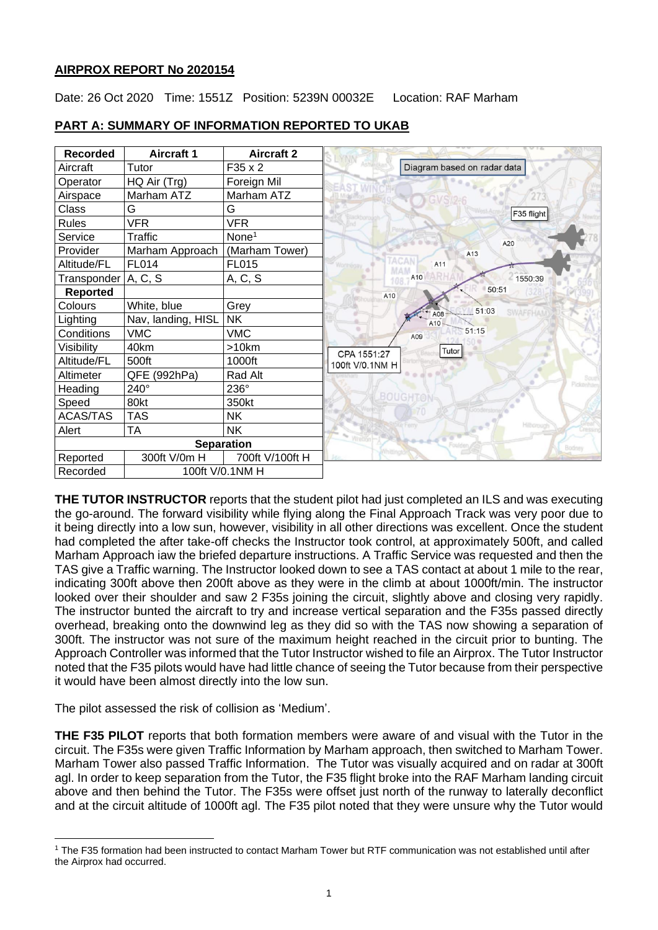## **AIRPROX REPORT No 2020154**

Date: 26 Oct 2020 Time: 1551Z Position: 5239N 00032E Location: RAF Marham

| <b>Recorded</b> | <b>Aircraft 1</b>  | <b>Aircraft 2</b> |                             |
|-----------------|--------------------|-------------------|-----------------------------|
| Aircraft        | Tutor              | $F35 \times 2$    | Diagram based on radar data |
| Operator        | HQ Air (Trg)       | Foreign Mil       |                             |
| Airspace        | Marham ATZ         | Marham ATZ        |                             |
| Class           | G                  | G                 | F35 flight                  |
| Rules           | <b>VFR</b>         | <b>VFR</b>        |                             |
| Service         | <b>Traffic</b>     | None <sup>1</sup> | A20                         |
| Provider        | Marham Approach    | (Marham Tower)    | A13                         |
| Altitude/FL     | <b>FL014</b>       | <b>FL015</b>      | A11                         |
| Transponder     | A, C, S            | A, C, S           | A10<br>1550:39<br>108       |
| <b>Reported</b> |                    |                   | 50:51<br>A10                |
| Colours         | White, blue        | Grey              | 51:03                       |
| Lighting        | Nav, landing, HISL | <b>NK</b>         | A08<br>A10                  |
| Conditions      | <b>VMC</b>         | <b>VMC</b>        | 51:15<br>A09                |
| Visibility      | 40km               | >10km             | <b>Tutor</b><br>CPA 1551:27 |
| Altitude/FL     | 500ft              | 1000ft            | 100ft V/0.1NM H             |
| Altimeter       | QFE (992hPa)       | Rad Alt           |                             |
| Heading         | 240°               | 236°              |                             |
| Speed           | 80kt               | 350kt             | <b>BOUGHTON</b>             |
| <b>ACAS/TAS</b> | <b>TAS</b>         | <b>NK</b>         |                             |
| Alert           | <b>TA</b>          | <b>NK</b>         |                             |
|                 |                    | <b>Separation</b> | Bodney                      |
| Reported        | 300ft V/0m H       | 700ft V/100ft H   |                             |
| Recorded        |                    | 100ft V/0.1NM H   |                             |

# **PART A: SUMMARY OF INFORMATION REPORTED TO UKAB**

**THE TUTOR INSTRUCTOR** reports that the student pilot had just completed an ILS and was executing the go-around. The forward visibility while flying along the Final Approach Track was very poor due to it being directly into a low sun, however, visibility in all other directions was excellent. Once the student had completed the after take-off checks the Instructor took control, at approximately 500ft, and called Marham Approach iaw the briefed departure instructions. A Traffic Service was requested and then the TAS give a Traffic warning. The Instructor looked down to see a TAS contact at about 1 mile to the rear, indicating 300ft above then 200ft above as they were in the climb at about 1000ft/min. The instructor looked over their shoulder and saw 2 F35s joining the circuit, slightly above and closing very rapidly. The instructor bunted the aircraft to try and increase vertical separation and the F35s passed directly overhead, breaking onto the downwind leg as they did so with the TAS now showing a separation of 300ft. The instructor was not sure of the maximum height reached in the circuit prior to bunting. The Approach Controller was informed that the Tutor Instructor wished to file an Airprox. The Tutor Instructor noted that the F35 pilots would have had little chance of seeing the Tutor because from their perspective it would have been almost directly into the low sun.

The pilot assessed the risk of collision as 'Medium'.

**THE F35 PILOT** reports that both formation members were aware of and visual with the Tutor in the circuit. The F35s were given Traffic Information by Marham approach, then switched to Marham Tower. Marham Tower also passed Traffic Information. The Tutor was visually acquired and on radar at 300ft agl. In order to keep separation from the Tutor, the F35 flight broke into the RAF Marham landing circuit above and then behind the Tutor. The F35s were offset just north of the runway to laterally deconflict and at the circuit altitude of 1000ft agl. The F35 pilot noted that they were unsure why the Tutor would

<sup>1</sup> The F35 formation had been instructed to contact Marham Tower but RTF communication was not established until after the Airprox had occurred.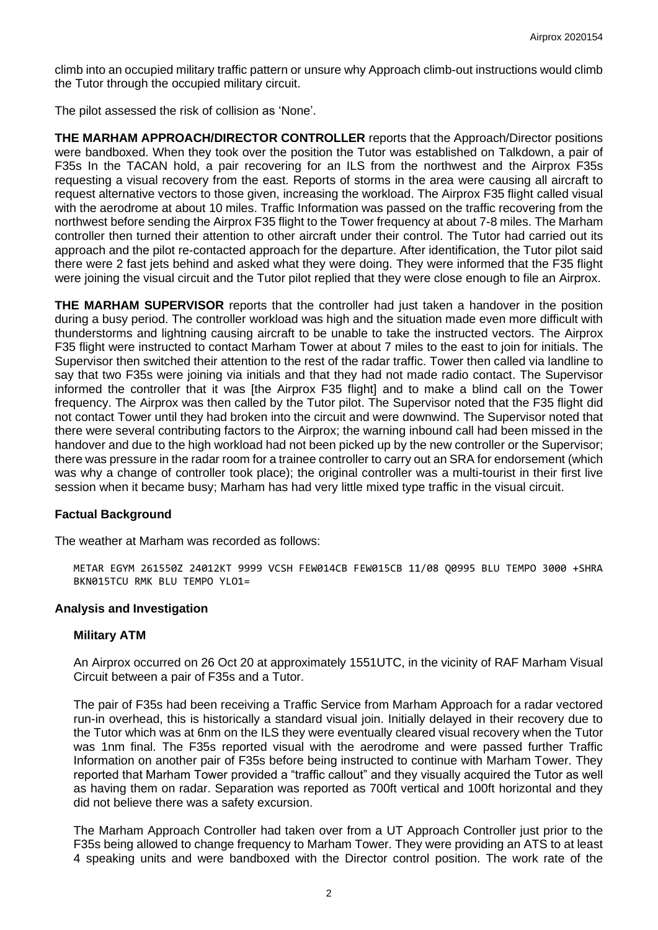climb into an occupied military traffic pattern or unsure why Approach climb-out instructions would climb the Tutor through the occupied military circuit.

The pilot assessed the risk of collision as 'None'.

**THE MARHAM APPROACH/DIRECTOR CONTROLLER** reports that the Approach/Director positions were bandboxed. When they took over the position the Tutor was established on Talkdown, a pair of F35s In the TACAN hold, a pair recovering for an ILS from the northwest and the Airprox F35s requesting a visual recovery from the east. Reports of storms in the area were causing all aircraft to request alternative vectors to those given, increasing the workload. The Airprox F35 flight called visual with the aerodrome at about 10 miles. Traffic Information was passed on the traffic recovering from the northwest before sending the Airprox F35 flight to the Tower frequency at about 7-8 miles. The Marham controller then turned their attention to other aircraft under their control. The Tutor had carried out its approach and the pilot re-contacted approach for the departure. After identification, the Tutor pilot said there were 2 fast jets behind and asked what they were doing. They were informed that the F35 flight were joining the visual circuit and the Tutor pilot replied that they were close enough to file an Airprox.

**THE MARHAM SUPERVISOR** reports that the controller had just taken a handover in the position during a busy period. The controller workload was high and the situation made even more difficult with thunderstorms and lightning causing aircraft to be unable to take the instructed vectors. The Airprox F35 flight were instructed to contact Marham Tower at about 7 miles to the east to join for initials. The Supervisor then switched their attention to the rest of the radar traffic. Tower then called via landline to say that two F35s were joining via initials and that they had not made radio contact. The Supervisor informed the controller that it was [the Airprox F35 flight] and to make a blind call on the Tower frequency. The Airprox was then called by the Tutor pilot. The Supervisor noted that the F35 flight did not contact Tower until they had broken into the circuit and were downwind. The Supervisor noted that there were several contributing factors to the Airprox; the warning inbound call had been missed in the handover and due to the high workload had not been picked up by the new controller or the Supervisor; there was pressure in the radar room for a trainee controller to carry out an SRA for endorsement (which was why a change of controller took place); the original controller was a multi-tourist in their first live session when it became busy; Marham has had very little mixed type traffic in the visual circuit.

## **Factual Background**

The weather at Marham was recorded as follows:

METAR EGYM 261550Z 24012KT 9999 VCSH FEW014CB FEW015CB 11/08 Q0995 BLU TEMPO 3000 +SHRA BKN015TCU RMK BLU TEMPO YLO1=

#### **Analysis and Investigation**

#### **Military ATM**

An Airprox occurred on 26 Oct 20 at approximately 1551UTC, in the vicinity of RAF Marham Visual Circuit between a pair of F35s and a Tutor.

The pair of F35s had been receiving a Traffic Service from Marham Approach for a radar vectored run-in overhead, this is historically a standard visual join. Initially delayed in their recovery due to the Tutor which was at 6nm on the ILS they were eventually cleared visual recovery when the Tutor was 1nm final. The F35s reported visual with the aerodrome and were passed further Traffic Information on another pair of F35s before being instructed to continue with Marham Tower. They reported that Marham Tower provided a "traffic callout" and they visually acquired the Tutor as well as having them on radar. Separation was reported as 700ft vertical and 100ft horizontal and they did not believe there was a safety excursion.

The Marham Approach Controller had taken over from a UT Approach Controller just prior to the F35s being allowed to change frequency to Marham Tower. They were providing an ATS to at least 4 speaking units and were bandboxed with the Director control position. The work rate of the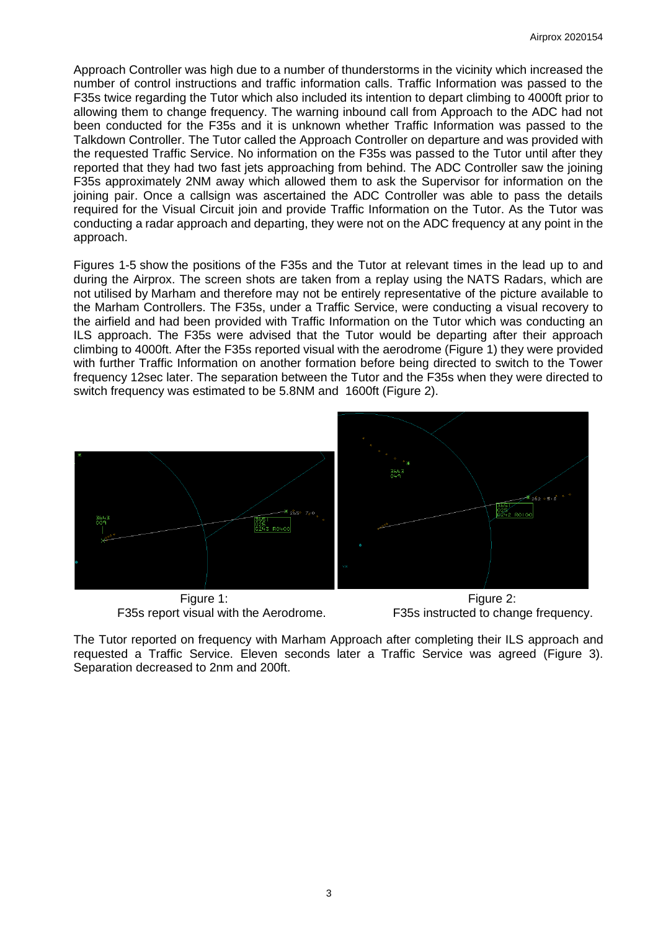Approach Controller was high due to a number of thunderstorms in the vicinity which increased the number of control instructions and traffic information calls. Traffic Information was passed to the F35s twice regarding the Tutor which also included its intention to depart climbing to 4000ft prior to allowing them to change frequency. The warning inbound call from Approach to the ADC had not been conducted for the F35s and it is unknown whether Traffic Information was passed to the Talkdown Controller. The Tutor called the Approach Controller on departure and was provided with the requested Traffic Service. No information on the F35s was passed to the Tutor until after they reported that they had two fast jets approaching from behind. The ADC Controller saw the joining F35s approximately 2NM away which allowed them to ask the Supervisor for information on the joining pair. Once a callsign was ascertained the ADC Controller was able to pass the details required for the Visual Circuit join and provide Traffic Information on the Tutor. As the Tutor was conducting a radar approach and departing, they were not on the ADC frequency at any point in the approach.

Figures 1-5 show the positions of the F35s and the Tutor at relevant times in the lead up to and during the Airprox. The screen shots are taken from a replay using the NATS Radars, which are not utilised by Marham and therefore may not be entirely representative of the picture available to the Marham Controllers. The F35s, under a Traffic Service, were conducting a visual recovery to the airfield and had been provided with Traffic Information on the Tutor which was conducting an ILS approach. The F35s were advised that the Tutor would be departing after their approach climbing to 4000ft. After the F35s reported visual with the aerodrome (Figure 1) they were provided with further Traffic Information on another formation before being directed to switch to the Tower frequency 12sec later. The separation between the Tutor and the F35s when they were directed to switch frequency was estimated to be 5.8NM and 1600ft (Figure 2).



Figure 1: Figure 2: F35s report visual with the Aerodrome. F35s instructed to change frequency.

The Tutor reported on frequency with Marham Approach after completing their ILS approach and requested a Traffic Service. Eleven seconds later a Traffic Service was agreed (Figure 3). Separation decreased to 2nm and 200ft.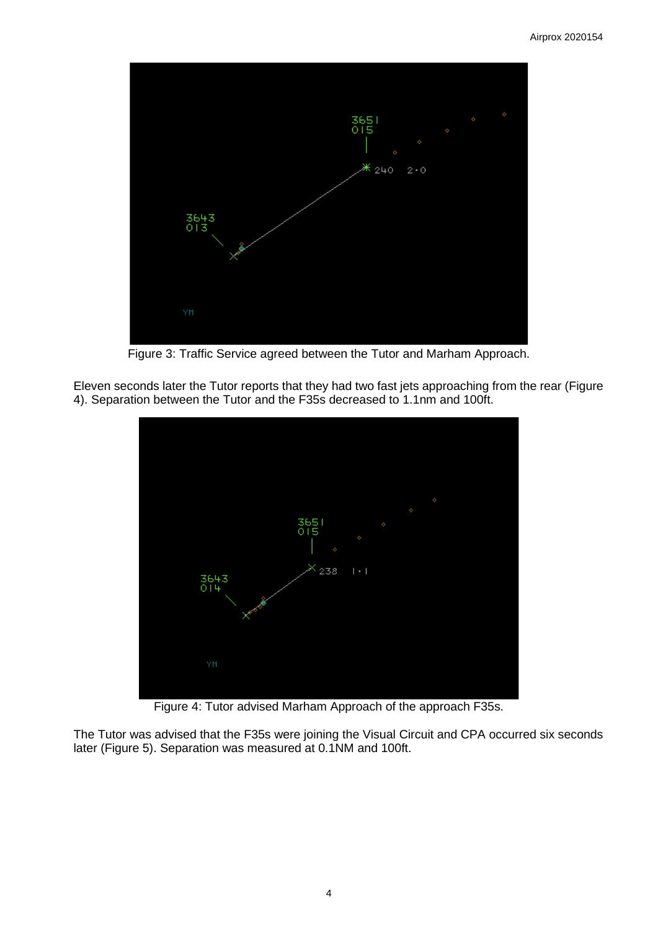

Figure 3: Traffic Service agreed between the Tutor and Marham Approach.

Eleven seconds later the Tutor reports that they had two fast jets approaching from the rear (Figure 4). Separation between the Tutor and the F35s decreased to 1.1nm and 100ft.



Figure 4: Tutor advised Marham Approach of the approach F35s.

The Tutor was advised that the F35s were joining the Visual Circuit and CPA occurred six seconds later (Figure 5). Separation was measured at 0.1NM and 100ft.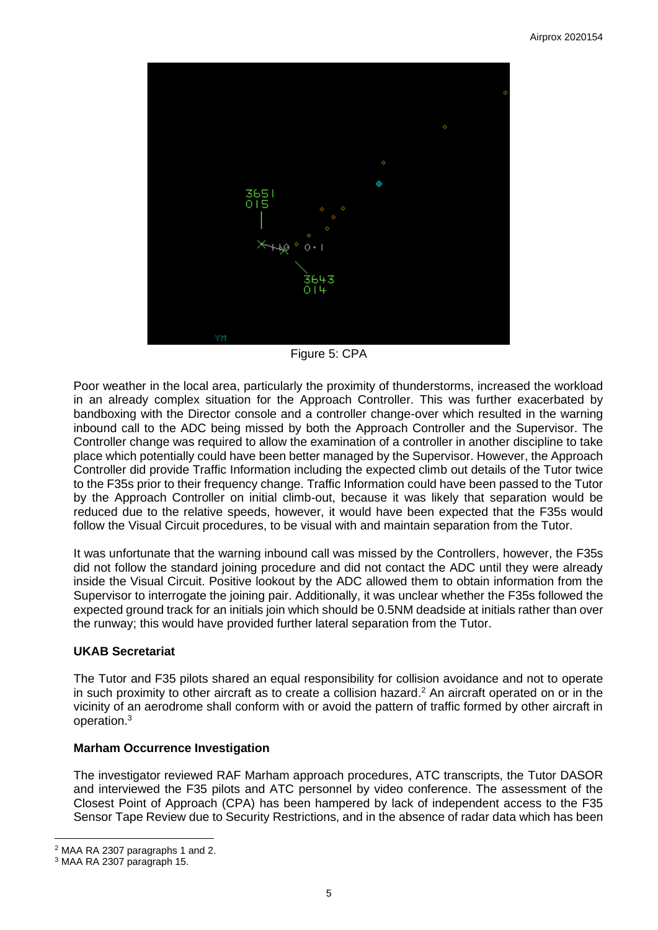

Figure 5: CPA

Poor weather in the local area, particularly the proximity of thunderstorms, increased the workload in an already complex situation for the Approach Controller. This was further exacerbated by bandboxing with the Director console and a controller change-over which resulted in the warning inbound call to the ADC being missed by both the Approach Controller and the Supervisor. The Controller change was required to allow the examination of a controller in another discipline to take place which potentially could have been better managed by the Supervisor. However, the Approach Controller did provide Traffic Information including the expected climb out details of the Tutor twice to the F35s prior to their frequency change. Traffic Information could have been passed to the Tutor by the Approach Controller on initial climb-out, because it was likely that separation would be reduced due to the relative speeds, however, it would have been expected that the F35s would follow the Visual Circuit procedures, to be visual with and maintain separation from the Tutor.

It was unfortunate that the warning inbound call was missed by the Controllers, however, the F35s did not follow the standard joining procedure and did not contact the ADC until they were already inside the Visual Circuit. Positive lookout by the ADC allowed them to obtain information from the Supervisor to interrogate the joining pair. Additionally, it was unclear whether the F35s followed the expected ground track for an initials join which should be 0.5NM deadside at initials rather than over the runway; this would have provided further lateral separation from the Tutor.

## **UKAB Secretariat**

The Tutor and F35 pilots shared an equal responsibility for collision avoidance and not to operate in such proximity to other aircraft as to create a collision hazard. <sup>2</sup> An aircraft operated on or in the vicinity of an aerodrome shall conform with or avoid the pattern of traffic formed by other aircraft in operation. 3

## **Marham Occurrence Investigation**

The investigator reviewed RAF Marham approach procedures, ATC transcripts, the Tutor DASOR and interviewed the F35 pilots and ATC personnel by video conference. The assessment of the Closest Point of Approach (CPA) has been hampered by lack of independent access to the F35 Sensor Tape Review due to Security Restrictions, and in the absence of radar data which has been

<sup>2</sup> MAA RA 2307 paragraphs 1 and 2.

<sup>3</sup> MAA RA 2307 paragraph 15.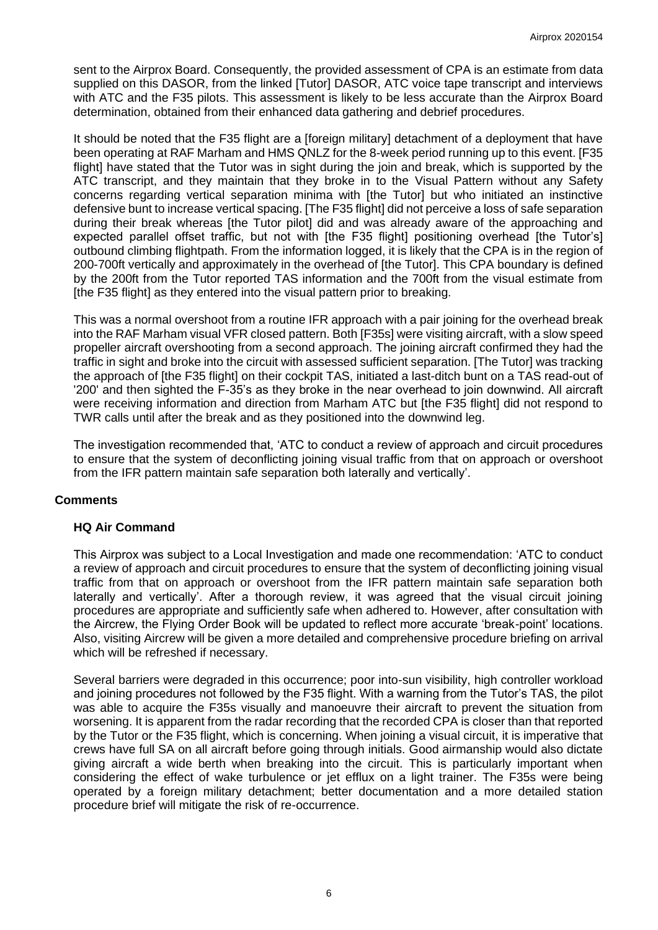sent to the Airprox Board. Consequently, the provided assessment of CPA is an estimate from data supplied on this DASOR, from the linked [Tutor] DASOR, ATC voice tape transcript and interviews with ATC and the F35 pilots. This assessment is likely to be less accurate than the Airprox Board determination, obtained from their enhanced data gathering and debrief procedures.

It should be noted that the F35 flight are a [foreign military] detachment of a deployment that have been operating at RAF Marham and HMS QNLZ for the 8-week period running up to this event. [F35 flight] have stated that the Tutor was in sight during the join and break, which is supported by the ATC transcript, and they maintain that they broke in to the Visual Pattern without any Safety concerns regarding vertical separation minima with [the Tutor] but who initiated an instinctive defensive bunt to increase vertical spacing. [The F35 flight] did not perceive a loss of safe separation during their break whereas [the Tutor pilot] did and was already aware of the approaching and expected parallel offset traffic, but not with [the F35 flight] positioning overhead [the Tutor's] outbound climbing flightpath. From the information logged, it is likely that the CPA is in the region of 200-700ft vertically and approximately in the overhead of [the Tutor]. This CPA boundary is defined by the 200ft from the Tutor reported TAS information and the 700ft from the visual estimate from [the F35 flight] as they entered into the visual pattern prior to breaking.

This was a normal overshoot from a routine IFR approach with a pair joining for the overhead break into the RAF Marham visual VFR closed pattern. Both [F35s] were visiting aircraft, with a slow speed propeller aircraft overshooting from a second approach. The joining aircraft confirmed they had the traffic in sight and broke into the circuit with assessed sufficient separation. [The Tutor] was tracking the approach of [the F35 flight] on their cockpit TAS, initiated a last-ditch bunt on a TAS read-out of '200' and then sighted the F-35's as they broke in the near overhead to join downwind. All aircraft were receiving information and direction from Marham ATC but [the F35 flight] did not respond to TWR calls until after the break and as they positioned into the downwind leg.

The investigation recommended that, 'ATC to conduct a review of approach and circuit procedures to ensure that the system of deconflicting joining visual traffic from that on approach or overshoot from the IFR pattern maintain safe separation both laterally and vertically'.

## **Comments**

#### **HQ Air Command**

This Airprox was subject to a Local Investigation and made one recommendation: 'ATC to conduct a review of approach and circuit procedures to ensure that the system of deconflicting joining visual traffic from that on approach or overshoot from the IFR pattern maintain safe separation both laterally and vertically'. After a thorough review, it was agreed that the visual circuit joining procedures are appropriate and sufficiently safe when adhered to. However, after consultation with the Aircrew, the Flying Order Book will be updated to reflect more accurate 'break-point' locations. Also, visiting Aircrew will be given a more detailed and comprehensive procedure briefing on arrival which will be refreshed if necessary.

Several barriers were degraded in this occurrence; poor into-sun visibility, high controller workload and joining procedures not followed by the F35 flight. With a warning from the Tutor's TAS, the pilot was able to acquire the F35s visually and manoeuvre their aircraft to prevent the situation from worsening. It is apparent from the radar recording that the recorded CPA is closer than that reported by the Tutor or the F35 flight, which is concerning. When joining a visual circuit, it is imperative that crews have full SA on all aircraft before going through initials. Good airmanship would also dictate giving aircraft a wide berth when breaking into the circuit. This is particularly important when considering the effect of wake turbulence or jet efflux on a light trainer. The F35s were being operated by a foreign military detachment; better documentation and a more detailed station procedure brief will mitigate the risk of re-occurrence.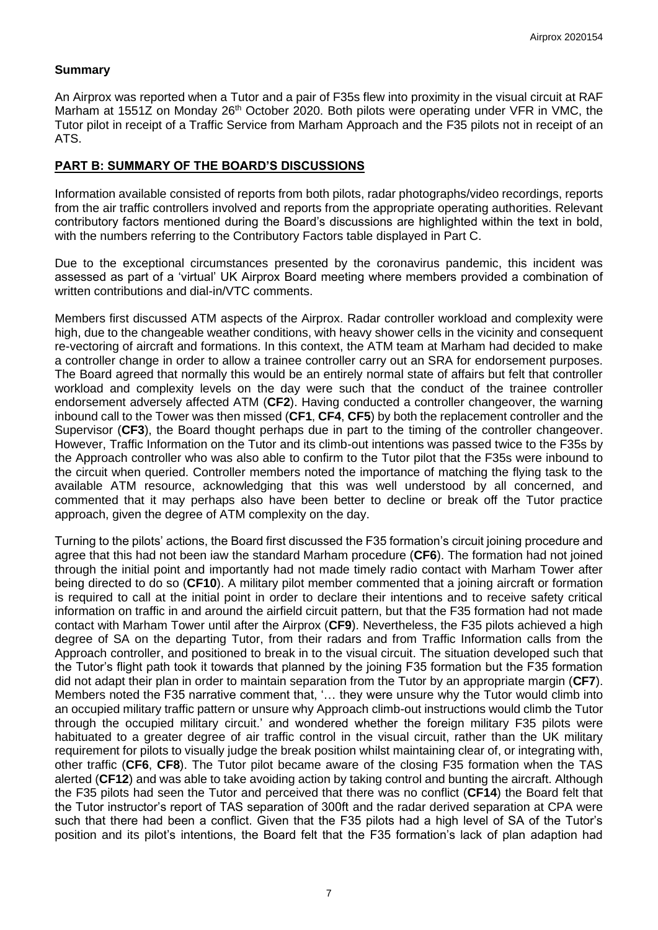## **Summary**

An Airprox was reported when a Tutor and a pair of F35s flew into proximity in the visual circuit at RAF Marham at 1551Z on Monday 26<sup>th</sup> October 2020. Both pilots were operating under VFR in VMC, the Tutor pilot in receipt of a Traffic Service from Marham Approach and the F35 pilots not in receipt of an ATS.

## **PART B: SUMMARY OF THE BOARD'S DISCUSSIONS**

Information available consisted of reports from both pilots, radar photographs/video recordings, reports from the air traffic controllers involved and reports from the appropriate operating authorities. Relevant contributory factors mentioned during the Board's discussions are highlighted within the text in bold, with the numbers referring to the Contributory Factors table displayed in Part C.

Due to the exceptional circumstances presented by the coronavirus pandemic, this incident was assessed as part of a 'virtual' UK Airprox Board meeting where members provided a combination of written contributions and dial-in/VTC comments.

Members first discussed ATM aspects of the Airprox. Radar controller workload and complexity were high, due to the changeable weather conditions, with heavy shower cells in the vicinity and consequent re-vectoring of aircraft and formations. In this context, the ATM team at Marham had decided to make a controller change in order to allow a trainee controller carry out an SRA for endorsement purposes. The Board agreed that normally this would be an entirely normal state of affairs but felt that controller workload and complexity levels on the day were such that the conduct of the trainee controller endorsement adversely affected ATM (**CF2**). Having conducted a controller changeover, the warning inbound call to the Tower was then missed (**CF1**, **CF4**, **CF5**) by both the replacement controller and the Supervisor (**CF3**), the Board thought perhaps due in part to the timing of the controller changeover. However, Traffic Information on the Tutor and its climb-out intentions was passed twice to the F35s by the Approach controller who was also able to confirm to the Tutor pilot that the F35s were inbound to the circuit when queried. Controller members noted the importance of matching the flying task to the available ATM resource, acknowledging that this was well understood by all concerned, and commented that it may perhaps also have been better to decline or break off the Tutor practice approach, given the degree of ATM complexity on the day.

Turning to the pilots' actions, the Board first discussed the F35 formation's circuit joining procedure and agree that this had not been iaw the standard Marham procedure (**CF6**). The formation had not joined through the initial point and importantly had not made timely radio contact with Marham Tower after being directed to do so (**CF10**). A military pilot member commented that a joining aircraft or formation is required to call at the initial point in order to declare their intentions and to receive safety critical information on traffic in and around the airfield circuit pattern, but that the F35 formation had not made contact with Marham Tower until after the Airprox (**CF9**). Nevertheless, the F35 pilots achieved a high degree of SA on the departing Tutor, from their radars and from Traffic Information calls from the Approach controller, and positioned to break in to the visual circuit. The situation developed such that the Tutor's flight path took it towards that planned by the joining F35 formation but the F35 formation did not adapt their plan in order to maintain separation from the Tutor by an appropriate margin (**CF7**). Members noted the F35 narrative comment that, '… they were unsure why the Tutor would climb into an occupied military traffic pattern or unsure why Approach climb-out instructions would climb the Tutor through the occupied military circuit.' and wondered whether the foreign military F35 pilots were habituated to a greater degree of air traffic control in the visual circuit, rather than the UK military requirement for pilots to visually judge the break position whilst maintaining clear of, or integrating with, other traffic (**CF6**, **CF8**). The Tutor pilot became aware of the closing F35 formation when the TAS alerted (**CF12**) and was able to take avoiding action by taking control and bunting the aircraft. Although the F35 pilots had seen the Tutor and perceived that there was no conflict (**CF14**) the Board felt that the Tutor instructor's report of TAS separation of 300ft and the radar derived separation at CPA were such that there had been a conflict. Given that the F35 pilots had a high level of SA of the Tutor's position and its pilot's intentions, the Board felt that the F35 formation's lack of plan adaption had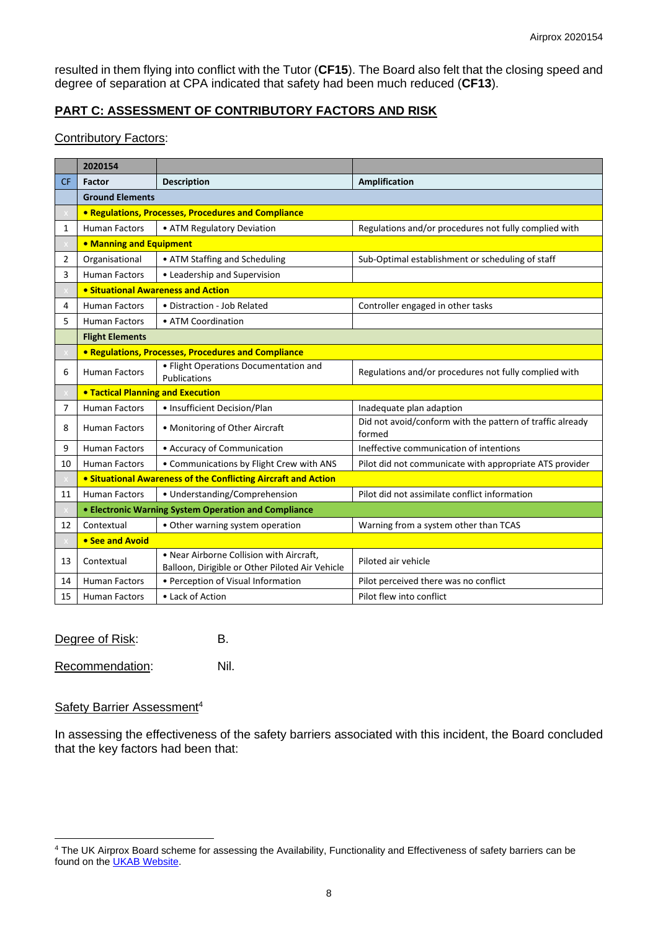resulted in them flying into conflict with the Tutor (**CF15**). The Board also felt that the closing speed and degree of separation at CPA indicated that safety had been much reduced (**CF13**).

## **PART C: ASSESSMENT OF CONTRIBUTORY FACTORS AND RISK**

### Contributory Factors:

|                | 2020154                                                                                                |                                                                                             |                                                                     |  |  |  |  |  |  |
|----------------|--------------------------------------------------------------------------------------------------------|---------------------------------------------------------------------------------------------|---------------------------------------------------------------------|--|--|--|--|--|--|
| <b>CF</b>      | <b>Description</b><br>Factor                                                                           |                                                                                             | Amplification                                                       |  |  |  |  |  |  |
|                | <b>Ground Elements</b>                                                                                 |                                                                                             |                                                                     |  |  |  |  |  |  |
|                | • Regulations, Processes, Procedures and Compliance                                                    |                                                                                             |                                                                     |  |  |  |  |  |  |
| 1              | <b>Human Factors</b>                                                                                   | • ATM Regulatory Deviation                                                                  | Regulations and/or procedures not fully complied with               |  |  |  |  |  |  |
|                | • Manning and Equipment                                                                                |                                                                                             |                                                                     |  |  |  |  |  |  |
| $\overline{2}$ | Organisational                                                                                         | • ATM Staffing and Scheduling                                                               | Sub-Optimal establishment or scheduling of staff                    |  |  |  |  |  |  |
| 3              | <b>Human Factors</b>                                                                                   | • Leadership and Supervision                                                                |                                                                     |  |  |  |  |  |  |
|                | • Situational Awareness and Action                                                                     |                                                                                             |                                                                     |  |  |  |  |  |  |
| 4              | <b>Human Factors</b>                                                                                   | • Distraction - Job Related                                                                 | Controller engaged in other tasks                                   |  |  |  |  |  |  |
| 5              | <b>Human Factors</b><br>• ATM Coordination                                                             |                                                                                             |                                                                     |  |  |  |  |  |  |
|                | <b>Flight Elements</b>                                                                                 |                                                                                             |                                                                     |  |  |  |  |  |  |
|                |                                                                                                        | • Regulations, Processes, Procedures and Compliance                                         |                                                                     |  |  |  |  |  |  |
| 6              | <b>Human Factors</b>                                                                                   | • Flight Operations Documentation and<br>Publications                                       | Regulations and/or procedures not fully complied with               |  |  |  |  |  |  |
|                | <b>. Tactical Planning and Execution</b>                                                               |                                                                                             |                                                                     |  |  |  |  |  |  |
| 7              | <b>Human Factors</b>                                                                                   | • Insufficient Decision/Plan                                                                | Inadequate plan adaption                                            |  |  |  |  |  |  |
| 8              | <b>Human Factors</b>                                                                                   | • Monitoring of Other Aircraft                                                              | Did not avoid/conform with the pattern of traffic already<br>formed |  |  |  |  |  |  |
| 9              | <b>Human Factors</b>                                                                                   | • Accuracy of Communication                                                                 | Ineffective communication of intentions                             |  |  |  |  |  |  |
| 10             | • Communications by Flight Crew with ANS<br><b>Human Factors</b>                                       |                                                                                             | Pilot did not communicate with appropriate ATS provider             |  |  |  |  |  |  |
|                | • Situational Awareness of the Conflicting Aircraft and Action                                         |                                                                                             |                                                                     |  |  |  |  |  |  |
| 11             | • Understanding/Comprehension<br>Pilot did not assimilate conflict information<br><b>Human Factors</b> |                                                                                             |                                                                     |  |  |  |  |  |  |
|                | • Electronic Warning System Operation and Compliance                                                   |                                                                                             |                                                                     |  |  |  |  |  |  |
| 12             | Contextual                                                                                             | • Other warning system operation                                                            | Warning from a system other than TCAS                               |  |  |  |  |  |  |
|                | • See and Avoid                                                                                        |                                                                                             |                                                                     |  |  |  |  |  |  |
| 13             | Contextual                                                                                             | . Near Airborne Collision with Aircraft,<br>Balloon, Dirigible or Other Piloted Air Vehicle | Piloted air vehicle                                                 |  |  |  |  |  |  |
| 14             | <b>Human Factors</b>                                                                                   | • Perception of Visual Information                                                          | Pilot perceived there was no conflict                               |  |  |  |  |  |  |
| 15             | <b>Human Factors</b>                                                                                   | • Lack of Action                                                                            | Pilot flew into conflict                                            |  |  |  |  |  |  |

| Degree of Risk: | В.   |
|-----------------|------|
| Recommendation: | Nil. |

## Safety Barrier Assessment<sup>4</sup>

In assessing the effectiveness of the safety barriers associated with this incident, the Board concluded that the key factors had been that:

<sup>&</sup>lt;sup>4</sup> The UK Airprox Board scheme for assessing the Availability, Functionality and Effectiveness of safety barriers can be found on the **UKAB Website**.